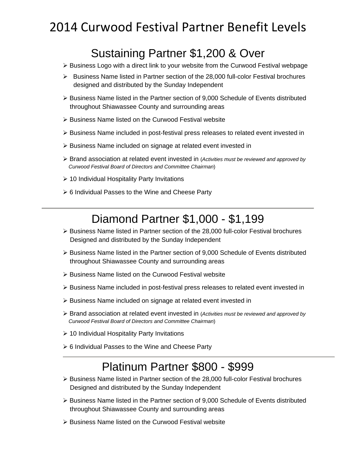# 2014 Curwood Festival Partner Benefit Levels

## Sustaining Partner \$1,200 & Over

- $\triangleright$  Business Logo with a direct link to your website from the Curwood Festival webpage
- $\triangleright$  Business Name listed in Partner section of the 28,000 full-color Festival brochures designed and distributed by the Sunday Independent
- $\triangleright$  Business Name listed in the Partner section of 9,000 Schedule of Events distributed throughout Shiawassee County and surrounding areas
- $\triangleright$  Business Name listed on the Curwood Festival website
- $\triangleright$  Business Name included in post-festival press releases to related event invested in
- ▶ Business Name included on signage at related event invested in
- Brand association at related event invested in (*Activities must be reviewed and approved by Curwood Festival Board of Directors and Committee Chairman*)
- $\geq 10$  Individual Hospitality Party Invitations
- $\geq 6$  Individual Passes to the Wine and Cheese Party

## Diamond Partner \$1,000 - \$1,199

- $\triangleright$  Business Name listed in Partner section of the 28,000 full-color Festival brochures Designed and distributed by the Sunday Independent
- Business Name listed in the Partner section of 9,000 Schedule of Events distributed throughout Shiawassee County and surrounding areas
- $\triangleright$  Business Name listed on the Curwood Festival website
- Business Name included in post-festival press releases to related event invested in
- Business Name included on signage at related event invested in
- Brand association at related event invested in (*Activities must be reviewed and approved by Curwood Festival Board of Directors and Committee Chairman*)
- ▶ 10 Individual Hospitality Party Invitations
- ▶ 6 Individual Passes to the Wine and Cheese Party

#### Platinum Partner \$800 - \$999

- $\triangleright$  Business Name listed in Partner section of the 28,000 full-color Festival brochures Designed and distributed by the Sunday Independent
- $\triangleright$  Business Name listed in the Partner section of 9,000 Schedule of Events distributed throughout Shiawassee County and surrounding areas
- $\triangleright$  Business Name listed on the Curwood Festival website